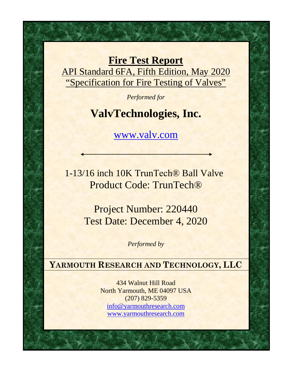**Fire Test Report** API Standard 6FA, Fifth Edition, May 2020 "Specification for Fire Testing of Valves"

*Performed for*

## **ValvTechnologies, Inc.**

www.valv.com

1-13/16 inch 10K TrunTech® Ball Valve Product Code: TrunTech®

> Project Number: 220440 Test Date: December 4, 2020

> > *Performed by*

**YARMOUTH RESEARCH AND TECHNOLOGY, LLC**

434 Walnut Hill Road North Yarmouth, ME 04097 USA (207) 829-5359 inf[o@yarmouthresearch.c](mailto:yrtlab@maine.rr.com)om [www.yarmouthresearch.com](http://www.yarmouthresearch.com/)